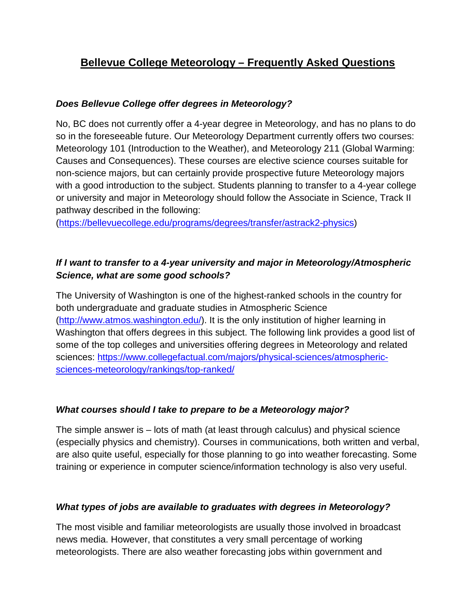# **Bellevue College Meteorology – Frequently Asked Questions**

# *Does Bellevue College offer degrees in Meteorology?*

No, BC does not currently offer a 4-year degree in Meteorology, and has no plans to do so in the foreseeable future. Our Meteorology Department currently offers two courses: Meteorology 101 (Introduction to the Weather), and Meteorology 211 (Global Warming: Causes and Consequences). These courses are elective science courses suitable for non-science majors, but can certainly provide prospective future Meteorology majors with a good introduction to the subject. Students planning to transfer to a 4-year college or university and major in Meteorology should follow the Associate in Science, Track II pathway described in the following:

[\(https://bellevuecollege.edu/programs/degrees/transfer/astrack2-physics\)](https://bellevuecollege.edu/programs/degrees/transfer/astrack2-physics)

# *If I want to transfer to a 4-year university and major in Meteorology/Atmospheric Science, what are some good schools?*

The University of Washington is one of the highest-ranked schools in the country for both undergraduate and graduate studies in Atmospheric Science [\(http://www.atmos.washington.edu/\)](http://www.atmos.washington.edu/). It is the only institution of higher learning in Washington that offers degrees in this subject. The following link provides a good list of some of the top colleges and universities offering degrees in Meteorology and related sciences: [https://www.collegefactual.com/majors/physical-sciences/atmospheric](https://www.collegefactual.com/majors/physical-sciences/atmospheric-sciences-meteorology/rankings/top-ranked/)[sciences-meteorology/rankings/top-ranked/](https://www.collegefactual.com/majors/physical-sciences/atmospheric-sciences-meteorology/rankings/top-ranked/)

# *What courses should I take to prepare to be a Meteorology major?*

The simple answer is – lots of math (at least through calculus) and physical science (especially physics and chemistry). Courses in communications, both written and verbal, are also quite useful, especially for those planning to go into weather forecasting. Some training or experience in computer science/information technology is also very useful.

# *What types of jobs are available to graduates with degrees in Meteorology?*

The most visible and familiar meteorologists are usually those involved in broadcast news media. However, that constitutes a very small percentage of working meteorologists. There are also weather forecasting jobs within government and